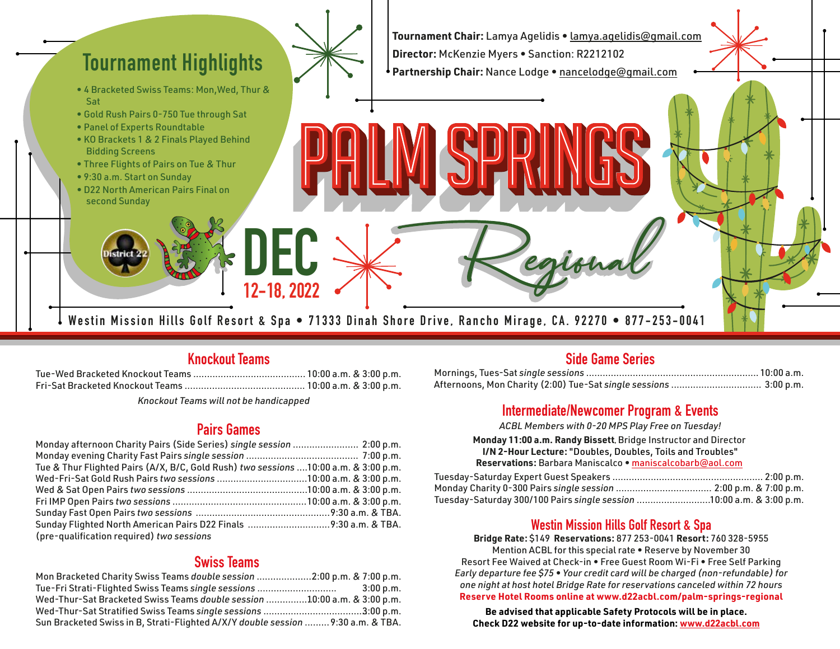

# **Knockout Teams**

10:00 a.m. & 3:00 p.m. Tue-Wed Bracketed Knockout Teams ......................................... 10:00 a.m. & 3:00 p.m. Fri-Sat Bracketed Knockout Teams ............................................

*Knockout Teams will not be handicapped*

## **Pairs Games**

| Monday afternoon Charity Pairs (Side Series) single session  2:00 p.m.               |  |
|--------------------------------------------------------------------------------------|--|
|                                                                                      |  |
| Tue & Thur Flighted Pairs (A/X, B/C, Gold Rush) two sessions  10:00 a.m. & 3:00 p.m. |  |
| Wed-Fri-Sat Gold Rush Pairs two sessions 10:00 a.m. & 3:00 p.m.                      |  |
|                                                                                      |  |
|                                                                                      |  |
|                                                                                      |  |
| Sunday Flighted North American Pairs D22 Finals 9:30 a.m. & TBA.                     |  |
| (pre-qualification required) two sessions                                            |  |

# **Swiss Teams**

| Mon Bracketed Charity Swiss Teams double session 2:00 p.m. & 7:00 p.m.           |             |
|----------------------------------------------------------------------------------|-------------|
| Tue-Fri Strati-Flighted Swiss Teams single sessions                              | $3:00$ p.m. |
| Wed-Thur-Sat Bracketed Swiss Teams double session 10:00 a.m. & 3:00 p.m.         |             |
| Wed-Thur-Sat Stratified Swiss Teams single sessions 3:00 p.m.                    |             |
| Sun Bracketed Swiss in B, Strati-Flighted A/X/Y double session  9:30 a.m. & TBA. |             |

#### **Side Game Series**

| Afternoons, Mon Charity (2:00) Tue-Sat single sessions  3:00 p.m. |  |
|-------------------------------------------------------------------|--|

## **Intermediate/Newcomer Program & Events**

*ACBL Members with 0-20 MPS Play Free on Tuesday!*

#### **Monday 11:00 a.m. Randy Bissett,** Bridge Instructor and Director **I/N 2-Hour Lecture:** "Doubles, Doubles, Toils and Troubles"

|  | Reservations: Barbara Maniscalco • maniscalcobarb@aol.com |  |  |  |  |
|--|-----------------------------------------------------------|--|--|--|--|

| Tuesday-Saturday 300/100 Pairs single session 10:00 a.m. & 3:00 p.m. |  |
|----------------------------------------------------------------------|--|

## **Westin Mission Hills Golf Resort & Spa**

**Bridge Rate:** \$149 **Reservations:** 877 253-0041 **Resort:** 760 328-5955 Mention ACBL for this special rate • Reserve by November 30 Resort Fee Waived at Check-in • Free Guest Room Wi-Fi • Free Self Parking *Early departure fee \$75 • Your credit card will be charged (non-refundable) for one night at host hotel Bridge Rate for reservations canceled within 72 hours* **Reserve Hotel Rooms online at www.d22acbl.com/palm-springs-regional**

**Be advised that applicable Safety Protocols will be in place. Check D22 website for up-to-date information: www.d22acbl.com**